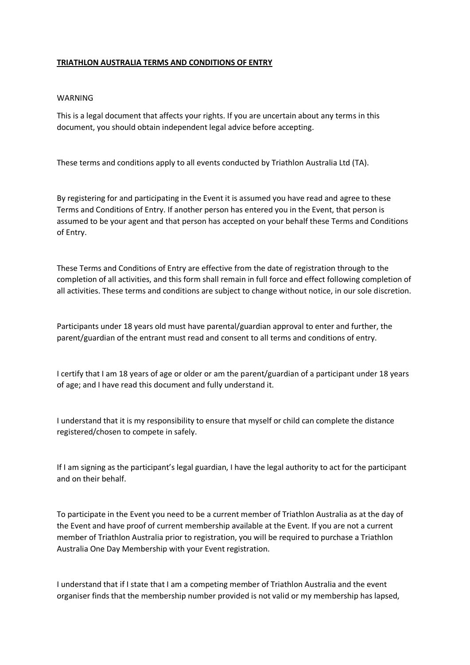## **TRIATHLON AUSTRALIA TERMS AND CONDITIONS OF ENTRY**

## WARNING

This is a legal document that affects your rights. If you are uncertain about any terms in this document, you should obtain independent legal advice before accepting.

These terms and conditions apply to all events conducted by Triathlon Australia Ltd (TA).

By registering for and participating in the Event it is assumed you have read and agree to these Terms and Conditions of Entry. If another person has entered you in the Event, that person is assumed to be your agent and that person has accepted on your behalf these Terms and Conditions of Entry.

These Terms and Conditions of Entry are effective from the date of registration through to the completion of all activities, and this form shall remain in full force and effect following completion of all activities. These terms and conditions are subject to change without notice, in our sole discretion.

Participants under 18 years old must have parental/guardian approval to enter and further, the parent/guardian of the entrant must read and consent to all terms and conditions of entry.

I certify that I am 18 years of age or older or am the parent/guardian of a participant under 18 years of age; and I have read this document and fully understand it.

I understand that it is my responsibility to ensure that myself or child can complete the distance registered/chosen to compete in safely.

If I am signing as the participant's legal guardian, I have the legal authority to act for the participant and on their behalf.

To participate in the Event you need to be a current member of Triathlon Australia as at the day of the Event and have proof of current membership available at the Event. If you are not a current member of Triathlon Australia prior to registration, you will be required to purchase a Triathlon Australia One Day Membership with your Event registration.

I understand that if I state that I am a competing member of Triathlon Australia and the event organiser finds that the membership number provided is not valid or my membership has lapsed,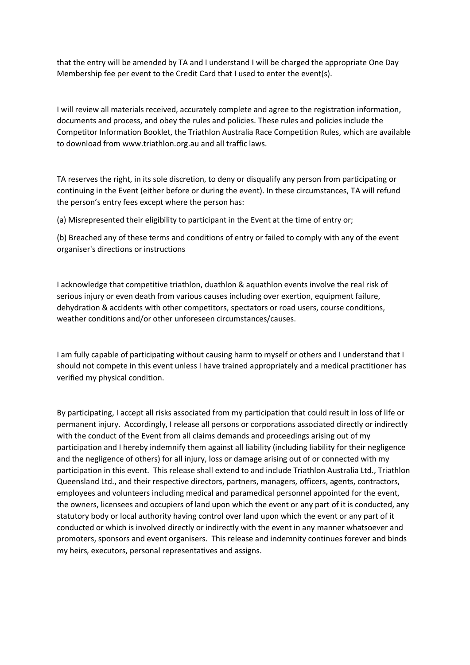that the entry will be amended by TA and I understand I will be charged the appropriate One Day Membership fee per event to the Credit Card that I used to enter the event(s).

I will review all materials received, accurately complete and agree to the registration information, documents and process, and obey the rules and policies. These rules and policies include the Competitor Information Booklet, the Triathlon Australia Race Competition Rules, which are available to download from www.triathlon.org.au and all traffic laws.

TA reserves the right, in its sole discretion, to deny or disqualify any person from participating or continuing in the Event (either before or during the event). In these circumstances, TA will refund the person's entry fees except where the person has:

(a) Misrepresented their eligibility to participant in the Event at the time of entry or;

(b) Breached any of these terms and conditions of entry or failed to comply with any of the event organiser's directions or instructions

I acknowledge that competitive triathlon, duathlon & aquathlon events involve the real risk of serious injury or even death from various causes including over exertion, equipment failure, dehydration & accidents with other competitors, spectators or road users, course conditions, weather conditions and/or other unforeseen circumstances/causes.

I am fully capable of participating without causing harm to myself or others and I understand that I should not compete in this event unless I have trained appropriately and a medical practitioner has verified my physical condition.

By participating, I accept all risks associated from my participation that could result in loss of life or permanent injury. Accordingly, I release all persons or corporations associated directly or indirectly with the conduct of the Event from all claims demands and proceedings arising out of my participation and I hereby indemnify them against all liability (including liability for their negligence and the negligence of others) for all injury, loss or damage arising out of or connected with my participation in this event. This release shall extend to and include Triathlon Australia Ltd., Triathlon Queensland Ltd., and their respective directors, partners, managers, officers, agents, contractors, employees and volunteers including medical and paramedical personnel appointed for the event, the owners, licensees and occupiers of land upon which the event or any part of it is conducted, any statutory body or local authority having control over land upon which the event or any part of it conducted or which is involved directly or indirectly with the event in any manner whatsoever and promoters, sponsors and event organisers. This release and indemnity continues forever and binds my heirs, executors, personal representatives and assigns.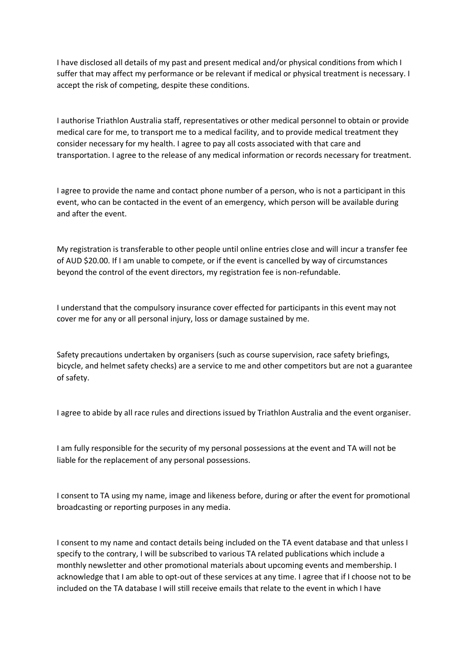I have disclosed all details of my past and present medical and/or physical conditions from which I suffer that may affect my performance or be relevant if medical or physical treatment is necessary. I accept the risk of competing, despite these conditions.

I authorise Triathlon Australia staff, representatives or other medical personnel to obtain or provide medical care for me, to transport me to a medical facility, and to provide medical treatment they consider necessary for my health. I agree to pay all costs associated with that care and transportation. I agree to the release of any medical information or records necessary for treatment.

I agree to provide the name and contact phone number of a person, who is not a participant in this event, who can be contacted in the event of an emergency, which person will be available during and after the event.

My registration is transferable to other people until online entries close and will incur a transfer fee of AUD \$20.00. If I am unable to compete, or if the event is cancelled by way of circumstances beyond the control of the event directors, my registration fee is non-refundable.

I understand that the compulsory insurance cover effected for participants in this event may not cover me for any or all personal injury, loss or damage sustained by me.

Safety precautions undertaken by organisers (such as course supervision, race safety briefings, bicycle, and helmet safety checks) are a service to me and other competitors but are not a guarantee of safety.

I agree to abide by all race rules and directions issued by Triathlon Australia and the event organiser.

I am fully responsible for the security of my personal possessions at the event and TA will not be liable for the replacement of any personal possessions.

I consent to TA using my name, image and likeness before, during or after the event for promotional broadcasting or reporting purposes in any media.

I consent to my name and contact details being included on the TA event database and that unless I specify to the contrary, I will be subscribed to various TA related publications which include a monthly newsletter and other promotional materials about upcoming events and membership. I acknowledge that I am able to opt-out of these services at any time. I agree that if I choose not to be included on the TA database I will still receive emails that relate to the event in which I have